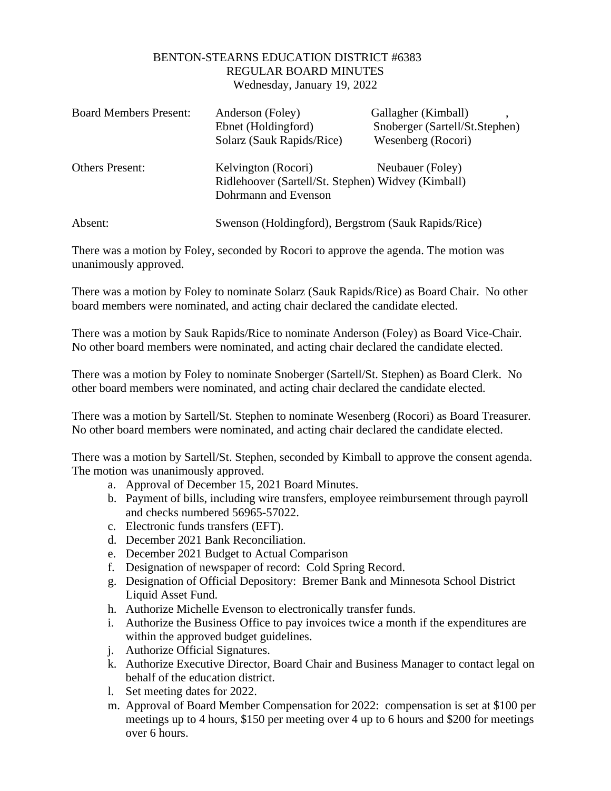## BENTON-STEARNS EDUCATION DISTRICT #6383 REGULAR BOARD MINUTES Wednesday, January 19, 2022

| <b>Board Members Present:</b> | Anderson (Foley)<br>Ebnet (Holdingford)<br>Solarz (Sauk Rapids/Rice)                              | Gallagher (Kimball)<br>Snoberger (Sartell/St.Stephen)<br>Wesenberg (Rocori) |
|-------------------------------|---------------------------------------------------------------------------------------------------|-----------------------------------------------------------------------------|
| <b>Others Present:</b>        | Kelvington (Rocori)<br>Ridlehoover (Sartell/St. Stephen) Widvey (Kimball)<br>Dohrmann and Evenson | Neubauer (Foley)                                                            |
| Absent:                       | Swenson (Holdingford), Bergstrom (Sauk Rapids/Rice)                                               |                                                                             |

There was a motion by Foley, seconded by Rocori to approve the agenda. The motion was unanimously approved.

There was a motion by Foley to nominate Solarz (Sauk Rapids/Rice) as Board Chair. No other board members were nominated, and acting chair declared the candidate elected.

There was a motion by Sauk Rapids/Rice to nominate Anderson (Foley) as Board Vice-Chair. No other board members were nominated, and acting chair declared the candidate elected.

There was a motion by Foley to nominate Snoberger (Sartell/St. Stephen) as Board Clerk. No other board members were nominated, and acting chair declared the candidate elected.

There was a motion by Sartell/St. Stephen to nominate Wesenberg (Rocori) as Board Treasurer. No other board members were nominated, and acting chair declared the candidate elected.

There was a motion by Sartell/St. Stephen, seconded by Kimball to approve the consent agenda. The motion was unanimously approved.

- a. Approval of December 15, 2021 Board Minutes.
- b. Payment of bills, including wire transfers, employee reimbursement through payroll and checks numbered 56965-57022.
- c. Electronic funds transfers (EFT).
- d. December 2021 Bank Reconciliation.
- e. December 2021 Budget to Actual Comparison
- f. Designation of newspaper of record: Cold Spring Record.
- g. Designation of Official Depository: Bremer Bank and Minnesota School District Liquid Asset Fund.
- h. Authorize Michelle Evenson to electronically transfer funds.
- i. Authorize the Business Office to pay invoices twice a month if the expenditures are within the approved budget guidelines.
- j. Authorize Official Signatures.
- k. Authorize Executive Director, Board Chair and Business Manager to contact legal on behalf of the education district.
- l. Set meeting dates for 2022.
- m. Approval of Board Member Compensation for 2022: compensation is set at \$100 per meetings up to 4 hours, \$150 per meeting over 4 up to 6 hours and \$200 for meetings over 6 hours.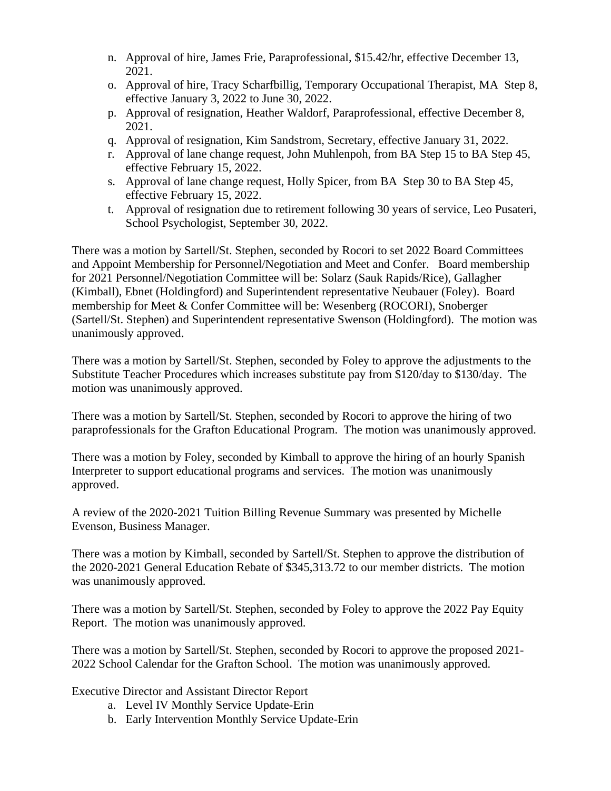- n. Approval of hire, James Frie, Paraprofessional, \$15.42/hr, effective December 13, 2021.
- o. Approval of hire, Tracy Scharfbillig, Temporary Occupational Therapist, MA Step 8, effective January 3, 2022 to June 30, 2022.
- p. Approval of resignation, Heather Waldorf, Paraprofessional, effective December 8, 2021.
- q. Approval of resignation, Kim Sandstrom, Secretary, effective January 31, 2022.
- r. Approval of lane change request, John Muhlenpoh, from BA Step 15 to BA Step 45, effective February 15, 2022.
- s. Approval of lane change request, Holly Spicer, from BA Step 30 to BA Step 45, effective February 15, 2022.
- t. Approval of resignation due to retirement following 30 years of service, Leo Pusateri, School Psychologist, September 30, 2022.

There was a motion by Sartell/St. Stephen, seconded by Rocori to set 2022 Board Committees and Appoint Membership for Personnel/Negotiation and Meet and Confer. Board membership for 2021 Personnel/Negotiation Committee will be: Solarz (Sauk Rapids/Rice), Gallagher (Kimball), Ebnet (Holdingford) and Superintendent representative Neubauer (Foley). Board membership for Meet & Confer Committee will be: Wesenberg (ROCORI), Snoberger (Sartell/St. Stephen) and Superintendent representative Swenson (Holdingford). The motion was unanimously approved.

There was a motion by Sartell/St. Stephen, seconded by Foley to approve the adjustments to the Substitute Teacher Procedures which increases substitute pay from \$120/day to \$130/day. The motion was unanimously approved.

There was a motion by Sartell/St. Stephen, seconded by Rocori to approve the hiring of two paraprofessionals for the Grafton Educational Program. The motion was unanimously approved.

There was a motion by Foley, seconded by Kimball to approve the hiring of an hourly Spanish Interpreter to support educational programs and services. The motion was unanimously approved.

A review of the 2020-2021 Tuition Billing Revenue Summary was presented by Michelle Evenson, Business Manager.

There was a motion by Kimball, seconded by Sartell/St. Stephen to approve the distribution of the 2020-2021 General Education Rebate of \$345,313.72 to our member districts. The motion was unanimously approved.

There was a motion by Sartell/St. Stephen, seconded by Foley to approve the 2022 Pay Equity Report. The motion was unanimously approved.

There was a motion by Sartell/St. Stephen, seconded by Rocori to approve the proposed 2021- 2022 School Calendar for the Grafton School. The motion was unanimously approved.

Executive Director and Assistant Director Report

- a. Level IV Monthly Service Update-Erin
- b. Early Intervention Monthly Service Update-Erin